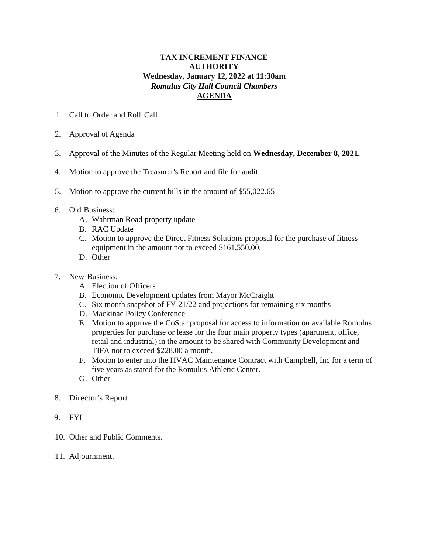## **TAX INCREMENT FINANCE AUTHORITY Wednesday, January 12, 2022 at 11:30am** *Romulus City Hall Council Chambers*  **AGENDA**

- 1. Call to Order and Roll Call
- 2. Approval of Agenda
- 3. Approval of the Minutes of the Regular Meeting held on **Wednesday, December 8, 2021.**
- 4. Motion to approve the Treasurer's Report and file for audit.
- 5. Motion to approve the current bills in the amount of \$55,022.65
- 6. Old Business:
	- A. Wahrman Road property update
	- B. RAC Update
	- C. Motion to approve the Direct Fitness Solutions proposal for the purchase of fitness equipment in the amount not to exceed \$161,550.00.
	- D. Other
- 7. New Business:
	- A. Election of Officers
	- B. Economic Development updates from Mayor McCraight
	- C. Six month snapshot of FY 21/22 and projections for remaining six months
	- D. Mackinac Policy Conference
	- E. Motion to approve the CoStar proposal for access to information on available Romulus properties for purchase or lease for the four main property types (apartment, office, retail and industrial) in the amount to be shared with Community Development and TIFA not to exceed \$228.00 a month.
	- F. Motion to enter into the HVAC Maintenance Contract with Campbell, Inc for a term of five years as stated for the Romulus Athletic Center.
	- G. Other
- 8. Director's Report
- 9. FYI
- 10. Other and Public Comments.
- 11. Adjournment.